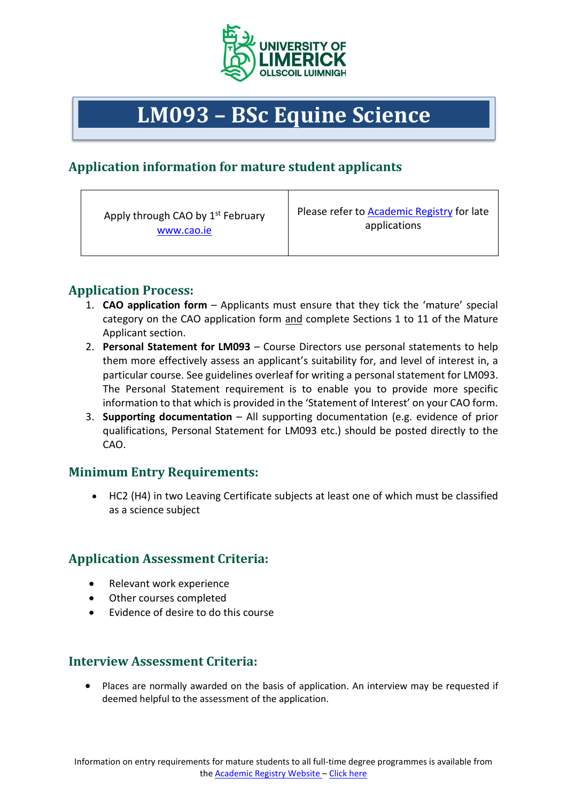

# **LM093 – BSc Equine Science**

## **Application information for mature student applicants**

Apply through CAO by 1<sup>st</sup> February [www.cao.ie](http://www.cao.ie/)

Please refer to **Academic Registry** for late applications

#### **Application Process:**

- 1. **CAO application form** Applicants must ensure that they tick the 'mature' special category on the CAO application form and complete Sections 1 to 11 of the Mature Applicant section.
- 2. **Personal Statement for LM093** Course Directors use personal statements to help them more effectively assess an applicant's suitability for, and level of interest in, a particular course. See guidelines overleaf for writing a personal statement for LM093. The Personal Statement requirement is to enable you to provide more specific information to that which is provided in the 'Statement of Interest' on your CAO form.
- 3. **Supporting documentation** All supporting documentation (e.g. evidence of prior qualifications, Personal Statement for LM093 etc.) should be posted directly to the CAO.

#### **Minimum Entry Requirements:**

 HC2 (H4) in two Leaving Certificate subjects at least one of which must be classified as a science subject

#### **Application Assessment Criteria:**

- Relevant work experience
- Other courses completed
- Evidence of desire to do this course

### **Interview Assessment Criteria:**

 Places are normally awarded on the basis of application. An interview may be requested if deemed helpful to the assessment of the application.